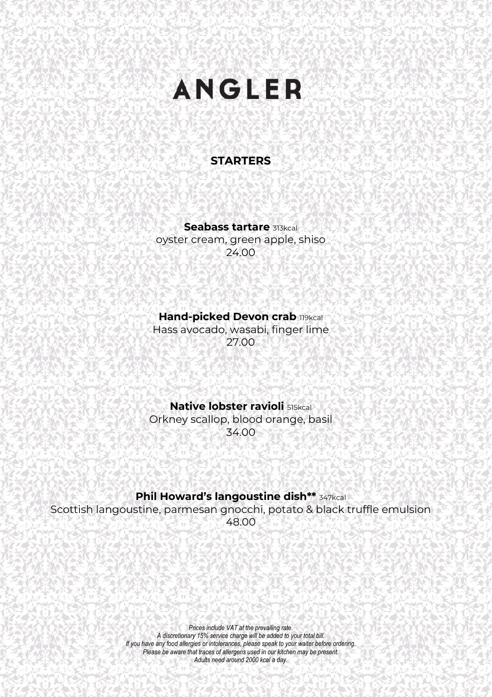## **ANGLER**

#### **STARTERS**

**Seabass tartare** 313kcal oyster cream, green apple, shiso 24.00

**Hand-picked Devon crab 119kcal** 

Hass avocado, wasabi, finger lime 27.00

**Native lobster ravioli** 515kcal Orkney scallop, blood orange, basil 34.00

**Phil Howard's langoustine dish\*\*** 347kcal

Scottish langoustine, parmesan gnocchi, potato & black truffle emulsion 48.00

> *Prices include VAT at the prevailing rate. A discretionary 15% service charge will be added to your total bill. If you have any food allergies or intolerances, please speak to your waiter before ordering. Please be aware that traces of allergens used in our kitchen may be present. Adults need around 2000 kcal a day.*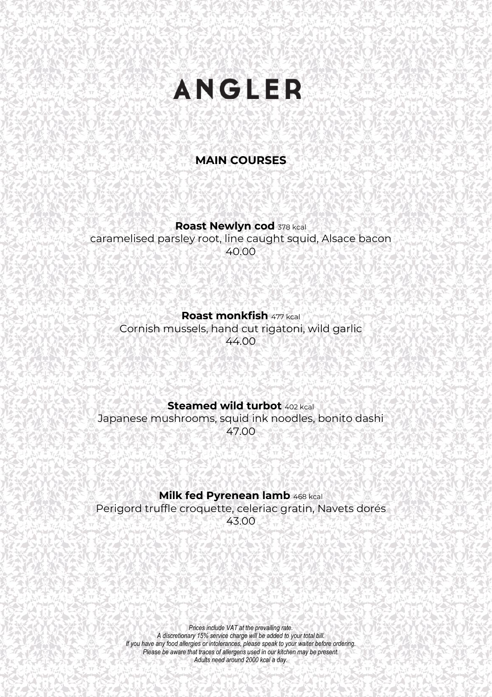# **ANGLER**

### **MAIN COURSES**

#### **Roast Newlyn cod** <sup>378</sup> kcal

caramelised parsley root, line caught squid, Alsace bacon 40.00

#### **Roast monkfish** <sup>477</sup> kcal

Cornish mussels, hand cut rigatoni, wild garlic 44.00

#### **Steamed wild turbot** 402 kcal

Japanese mushrooms, squid ink noodles, bonito dashi 47.00

#### **Milk fed Pyrenean lamb** <sup>468</sup> kcal

Perigord truffle croquette, celeriac gratin, Navets dorés 43.00

> *Prices include VAT at the prevailing rate. A discretionary 15% service charge will be added to your total bill. If you have any food allergies or intolerances, please speak to your waiter before ordering. Please be aware that traces of allergens used in our kitchen may be present. Adults need around 2000 kcal a day.*